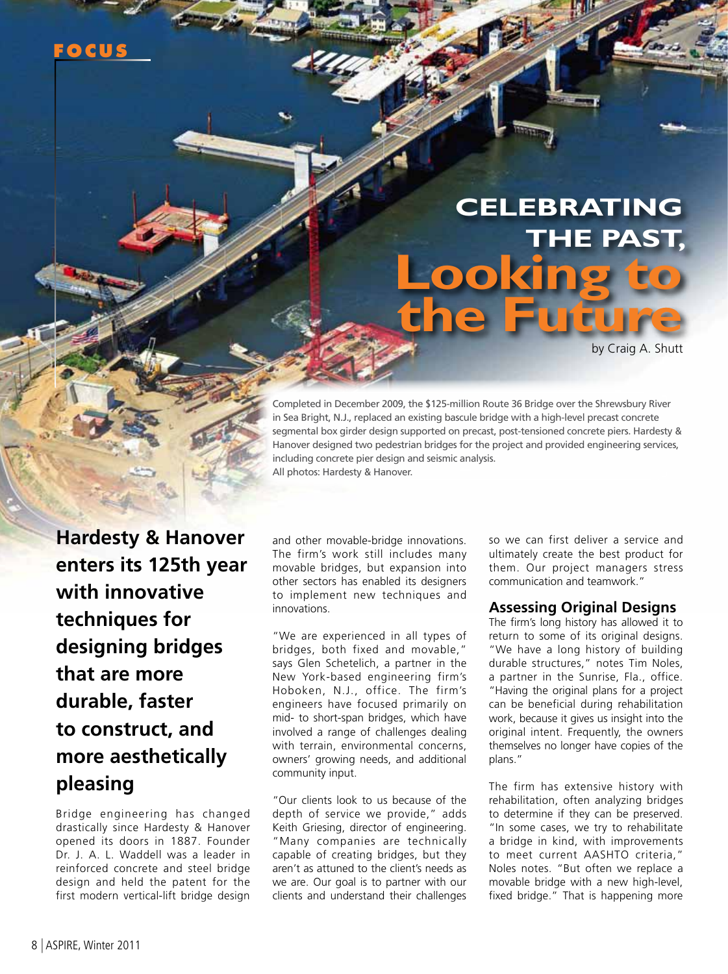# **Celebrating the past, Looking to the Future**

by Craig A. Shutt

Completed in December 2009, the \$125-million Route 36 Bridge over the Shrewsbury River in Sea Bright, N.J., replaced an existing bascule bridge with a high-level precast concrete segmental box girder design supported on precast, post-tensioned concrete piers. Hardesty & Hanover designed two pedestrian bridges for the project and provided engineering services, including concrete pier design and seismic analysis. All photos: Hardesty & Hanover.

**Hardesty & Hanover enters its 125th year with innovative techniques for designing bridges that are more durable, faster to construct, and more aesthetically pleasing**

Bridge engineering has changed drastically since Hardesty & Hanover opened its doors in 1887. Founder Dr. J. A. L. Waddell was a leader in reinforced concrete and steel bridge design and held the patent for the first modern vertical-lift bridge design

and other movable-bridge innovations. The firm's work still includes many movable bridges, but expansion into other sectors has enabled its designers to implement new techniques and innovations.

"We are experienced in all types of bridges, both fixed and movable," says Glen Schetelich, a partner in the New York-based engineering firm's Hoboken, N.J., office. The firm's engineers have focused primarily on mid- to short-span bridges, which have involved a range of challenges dealing with terrain, environmental concerns, owners' growing needs, and additional community input.

"Our clients look to us because of the depth of service we provide," adds Keith Griesing, director of engineering. "Many companies are technically capable of creating bridges, but they aren't as attuned to the client's needs as we are. Our goal is to partner with our clients and understand their challenges

so we can first deliver a service and ultimately create the best product for them. Our project managers stress communication and teamwork."

## **Assessing Original Designs**

The firm's long history has allowed it to return to some of its original designs. "We have a long history of building durable structures," notes Tim Noles, a partner in the Sunrise, Fla., office. "Having the original plans for a project can be beneficial during rehabilitation work, because it gives us insight into the original intent. Frequently, the owners themselves no longer have copies of the plans."

The firm has extensive history with rehabilitation, often analyzing bridges to determine if they can be preserved. "In some cases, we try to rehabilitate a bridge in kind, with improvements to meet current AASHTO criteria," Noles notes. "But often we replace a movable bridge with a new high-level, fixed bridge." That is happening more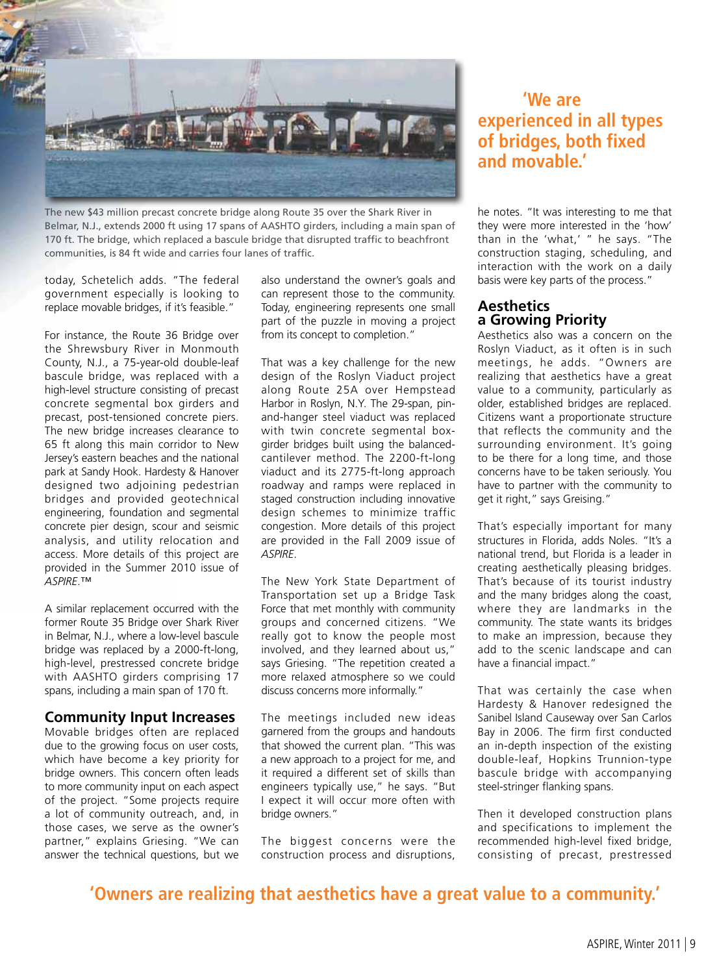

The new \$43 million precast concrete bridge along Route 35 over the Shark River in Belmar, N.J., extends 2000 ft using 17 spans of AASHTO girders, including a main span of 170 ft. The bridge, which replaced a bascule bridge that disrupted traffic to beachfront communities, is 84 ft wide and carries four lanes of traffic.

today, Schetelich adds. "The federal government especially is looking to replace movable bridges, if it's feasible."

For instance, the Route 36 Bridge over the Shrewsbury River in Monmouth County, N.J., a 75-year-old double-leaf bascule bridge, was replaced with a high-level structure consisting of precast concrete segmental box girders and precast, post-tensioned concrete piers. The new bridge increases clearance to 65 ft along this main corridor to New Jersey's eastern beaches and the national park at Sandy Hook. Hardesty & Hanover designed two adjoining pedestrian bridges and provided geotechnical engineering, foundation and segmental concrete pier design, scour and seismic analysis, and utility relocation and access. More details of this project are provided in the Summer 2010 issue of *ASPIRE*.™

A similar replacement occurred with the former Route 35 Bridge over Shark River in Belmar, N.J., where a low-level bascule bridge was replaced by a 2000-ft-long, high-level, prestressed concrete bridge with AASHTO girders comprising 17 spans, including a main span of 170 ft.

### **Community Input Increases**

Movable bridges often are replaced due to the growing focus on user costs, which have become a key priority for bridge owners. This concern often leads to more community input on each aspect of the project. "Some projects require a lot of community outreach, and, in those cases, we serve as the owner's partner," explains Griesing. "We can answer the technical questions, but we

also understand the owner's goals and can represent those to the community. Today, engineering represents one small part of the puzzle in moving a project from its concept to completion."

That was a key challenge for the new design of the Roslyn Viaduct project along Route 25A over Hempstead Harbor in Roslyn, N.Y. The 29-span, pinand-hanger steel viaduct was replaced with twin concrete segmental boxgirder bridges built using the balancedcantilever method. The 2200-ft-long viaduct and its 2775-ft-long approach roadway and ramps were replaced in staged construction including innovative design schemes to minimize traffic congestion. More details of this project are provided in the Fall 2009 issue of *ASPIRE*.

The New York State Department of Transportation set up a Bridge Task Force that met monthly with community groups and concerned citizens. "We really got to know the people most involved, and they learned about us," says Griesing. "The repetition created a more relaxed atmosphere so we could discuss concerns more informally."

The meetings included new ideas garnered from the groups and handouts that showed the current plan. "This was a new approach to a project for me, and it required a different set of skills than engineers typically use," he says. "But I expect it will occur more often with bridge owners."

The biggest concerns were the construction process and disruptions,

## **'We are experienced in all types of bridges, both fixed and movable.'**

he notes. "It was interesting to me that they were more interested in the 'how' than in the 'what,' " he says. "The construction staging, scheduling, and interaction with the work on a daily basis were key parts of the process."

### **Aesthetics a Growing Priority**

Aesthetics also was a concern on the Roslyn Viaduct, as it often is in such meetings, he adds. "Owners are realizing that aesthetics have a great value to a community, particularly as older, established bridges are replaced. Citizens want a proportionate structure that reflects the community and the surrounding environment. It's going to be there for a long time, and those concerns have to be taken seriously. You have to partner with the community to get it right," says Greising."

That's especially important for many structures in Florida, adds Noles. "It's a national trend, but Florida is a leader in creating aesthetically pleasing bridges. That's because of its tourist industry and the many bridges along the coast, where they are landmarks in the community. The state wants its bridges to make an impression, because they add to the scenic landscape and can have a financial impact."

That was certainly the case when Hardesty & Hanover redesigned the Sanibel Island Causeway over San Carlos Bay in 2006. The firm first conducted an in-depth inspection of the existing double-leaf, Hopkins Trunnion-type bascule bridge with accompanying steel-stringer flanking spans.

Then it developed construction plans and specifications to implement the recommended high-level fixed bridge, consisting of precast, prestressed

## **'Owners are realizing that aesthetics have a great value to a community.'**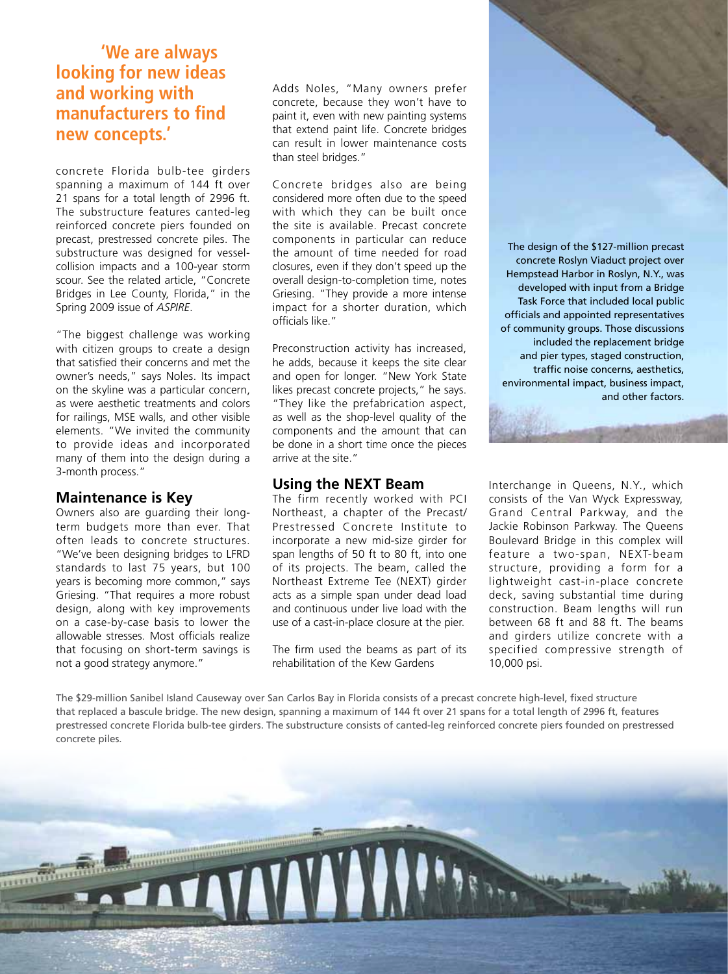## **'We are always looking for new ideas and working with manufacturers to find new concepts.'**

concrete Florida bulb-tee girders spanning a maximum of 144 ft over 21 spans for a total length of 2996 ft. The substructure features canted-leg reinforced concrete piers founded on precast, prestressed concrete piles. The substructure was designed for vesselcollision impacts and a 100-year storm scour. See the related article, "Concrete Bridges in Lee County, Florida," in the Spring 2009 issue of *ASPIRE*.

"The biggest challenge was working with citizen groups to create a design that satisfied their concerns and met the owner's needs," says Noles. Its impact on the skyline was a particular concern, as were aesthetic treatments and colors for railings, MSE walls, and other visible elements. "We invited the community to provide ideas and incorporated many of them into the design during a 3-month process."

## **Maintenance is Key**

Owners also are guarding their longterm budgets more than ever. That often leads to concrete structures. "We've been designing bridges to LFRD standards to last 75 years, but 100 years is becoming more common," says Griesing. "That requires a more robust design, along with key improvements on a case-by-case basis to lower the allowable stresses. Most officials realize that focusing on short-term savings is not a good strategy anymore."

Adds Noles, "Many owners prefer concrete, because they won't have to paint it, even with new painting systems that extend paint life. Concrete bridges can result in lower maintenance costs than steel bridges."

Concrete bridges also are being considered more often due to the speed with which they can be built once the site is available. Precast concrete components in particular can reduce the amount of time needed for road closures, even if they don't speed up the overall design-to-completion time, notes Griesing. "They provide a more intense impact for a shorter duration, which officials like."

Preconstruction activity has increased, he adds, because it keeps the site clear and open for longer. "New York State likes precast concrete projects," he says. "They like the prefabrication aspect, as well as the shop-level quality of the components and the amount that can be done in a short time once the pieces arrive at the site."

## **Using the NEXT Beam**

The firm recently worked with PCI Northeast, a chapter of the Precast/ Prestressed Concrete Institute to incorporate a new mid-size girder for span lengths of 50 ft to 80 ft, into one of its projects. The beam, called the Northeast Extreme Tee (NEXT) girder acts as a simple span under dead load and continuous under live load with the use of a cast-in-place closure at the pier.

The firm used the beams as part of its rehabilitation of the Kew Gardens

The design of the \$127-million precast concrete Roslyn Viaduct project over Hempstead Harbor in Roslyn, N.Y., was developed with input from a Bridge Task Force that included local public officials and appointed representatives of community groups. Those discussions included the replacement bridge and pier types, staged construction, traffic noise concerns, aesthetics, environmental impact, business impact, and other factors.

Interchange in Queens, N.Y., which consists of the Van Wyck Expressway, Grand Central Parkway, and the Jackie Robinson Parkway. The Queens Boulevard Bridge in this complex will feature a two-span, NEXT-beam structure, providing a form for a lightweight cast-in-place concrete deck, saving substantial time during construction. Beam lengths will run between 68 ft and 88 ft. The beams and girders utilize concrete with a specified compressive strength of 10,000 psi.

The \$29-million Sanibel Island Causeway over San Carlos Bay in Florida consists of a precast concrete high-level, fixed structure that replaced a bascule bridge. The new design, spanning a maximum of 144 ft over 21 spans for a total length of 2996 ft, features prestressed concrete Florida bulb-tee girders. The substructure consists of canted-leg reinforced concrete piers founded on prestressed concrete piles.

VAYAYAYAYA!